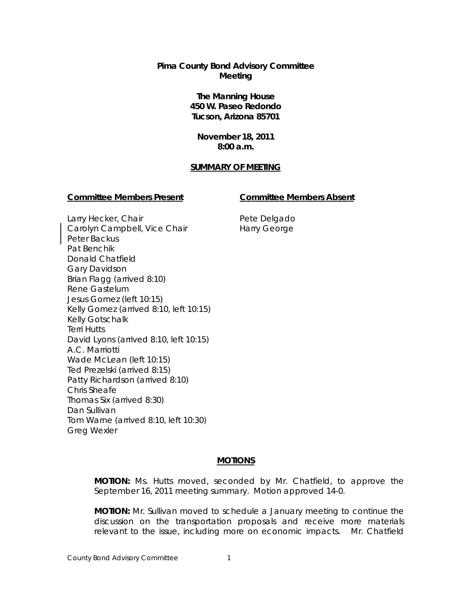# **Pima County Bond Advisory Committee Meeting**

**The Manning House 450 W. Paseo Redondo Tucson, Arizona 85701**

**November 18, 2011 8:00 a.m.**

#### **SUMMARY OF MEETING**

#### **Committee Members Present Committee Members Absent**

Larry Hecker, Chair Carolyn Campbell, Vice Chair Peter Backus Pat Benchik Donald Chatfield Gary Davidson Brian Flagg (arrived 8:10) Rene Gastelum Jesus Gomez (left 10:15) Kelly Gomez (arrived 8:10, left 10:15) Kelly Gotschalk Terri Hutts David Lyons (arrived 8:10, left 10:15) A.C. Marriotti Wade McLean (left 10:15) Ted Prezelski (arrived 8:15) Patty Richardson (arrived 8:10) Chris Sheafe Thomas Six (arrived 8:30) Dan Sullivan Tom Warne (arrived 8:10, left 10:30) Greg Wexler

Pete Delgado Harry George

# **MOTIONS**

**MOTION:** Ms. Hutts moved, seconded by Mr. Chatfield, to approve the September 16, 2011 meeting summary. Motion approved 14-0.

**MOTION:** Mr. Sullivan moved to schedule a January meeting to continue the discussion on the transportation proposals and receive more materials relevant to the issue, including more on economic impacts. Mr. Chatfield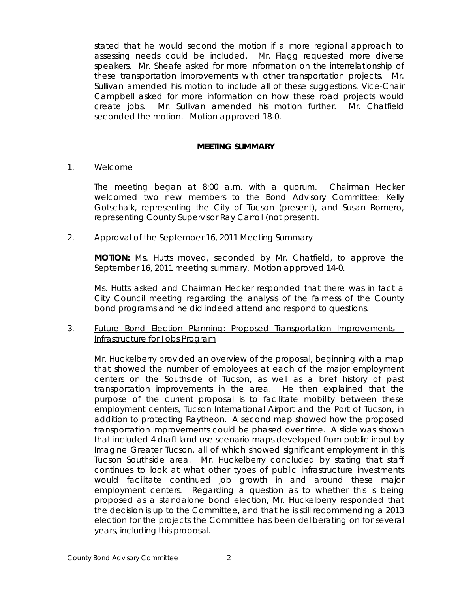stated that he would second the motion if a more regional approach to assessing needs could be included. Mr. Flagg requested more diverse speakers. Mr. Sheafe asked for more information on the interrelationship of these transportation improvements with other transportation projects. Mr. Sullivan amended his motion to include all of these suggestions. Vice-Chair Campbell asked for more information on how these road projects would create jobs. Mr. Sullivan amended his motion further. Mr. Chatfield seconded the motion. Motion approved 18-0.

## **MEETING SUMMARY**

#### 1. Welcome

The meeting began at 8:00 a.m. with a quorum. Chairman Hecker welcomed two new members to the Bond Advisory Committee: Kelly Gotschalk, representing the City of Tucson (present), and Susan Romero, representing County Supervisor Ray Carroll (not present).

#### 2. Approval of the September 16, 2011 Meeting Summary

**MOTION:** Ms. Hutts moved, seconded by Mr. Chatfield, to approve the September 16, 2011 meeting summary. Motion approved 14-0.

Ms. Hutts asked and Chairman Hecker responded that there was in fact a City Council meeting regarding the analysis of the fairness of the County bond programs and he did indeed attend and respond to questions.

# 3. Future Bond Election Planning: Proposed Transportation Improvements – Infrastructure for Jobs Program

Mr. Huckelberry provided an overview of the proposal, beginning with a map that showed the number of employees at each of the major employment centers on the Southside of Tucson, as well as a brief history of past transportation improvements in the area. He then explained that the purpose of the current proposal is to facilitate mobility between these employment centers, Tucson International Airport and the Port of Tucson, in addition to protecting Raytheon. A second map showed how the proposed transportation improvements could be phased over time. A slide was shown that included 4 draft land use scenario maps developed from public input by Imagine Greater Tucson, all of which showed significant employment in this Tucson Southside area. Mr. Huckelberry concluded by stating that staff continues to look at what other types of public infrastructure investments would facilitate continued job growth in and around these major employment centers. Regarding a question as to whether this is being proposed as a standalone bond election, Mr. Huckelberry responded that the decision is up to the Committee, and that he is still recommending a 2013 election for the projects the Committee has been deliberating on for several years, including this proposal.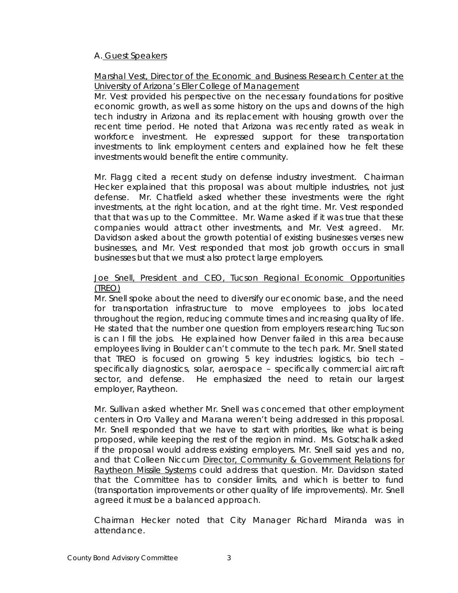# A. Guest Speakers

# Marshal Vest, Director of the Economic and Business Research Center at the University of Arizona's Eller College of Management

Mr. Vest provided his perspective on the necessary foundations for positive economic growth, as well as some history on the ups and downs of the high tech industry in Arizona and its replacement with housing growth over the recent time period. He noted that Arizona was recently rated as weak in workforce investment. He expressed support for these transportation investments to link employment centers and explained how he felt these investments would benefit the entire community.

Mr. Flagg cited a recent study on defense industry investment. Chairman Hecker explained that this proposal was about multiple industries, not just defense. Mr. Chatfield asked whether these investments were the right investments, at the right location, and at the right time. Mr. Vest responded that that was up to the Committee. Mr. Warne asked if it was true that these companies would attract other investments, and Mr. Vest agreed. Mr. Davidson asked about the growth potential of existing businesses verses new businesses, and Mr. Vest responded that most job growth occurs in small businesses but that we must also protect large employers.

# Joe Snell, President and CEO, Tucson Regional Economic Opportunities (TREO)

Mr. Snell spoke about the need to diversify our economic base, and the need for transportation infrastructure to move employees to jobs located throughout the region, reducing commute times and increasing quality of life. He stated that the number one question from employers researching Tucson is can I fill the jobs. He explained how Denver failed in this area because employees living in Boulder can't commute to the tech park. Mr. Snell stated that TREO is focused on growing 5 key industries: logistics, bio tech – specifically diagnostics, solar, aerospace – specifically commercial aircraft sector, and defense. He emphasized the need to retain our largest employer, Raytheon.

Mr. Sullivan asked whether Mr. Snell was concerned that other employment centers in Oro Valley and Marana weren't being addressed in this proposal. Mr. Snell responded that we have to start with priorities, like what is being proposed, while keeping the rest of the region in mind. Ms. Gotschalk asked if the proposal would address existing employers. Mr. Snell said yes and no, and that Colleen Niccum Director, Community & Government Relations for Raytheon Missile Systems could address that question. Mr. Davidson stated that the Committee has to consider limits, and which is better to fund (transportation improvements or other quality of life improvements). Mr. Snell agreed it must be a balanced approach.

Chairman Hecker noted that City Manager Richard Miranda was in attendance.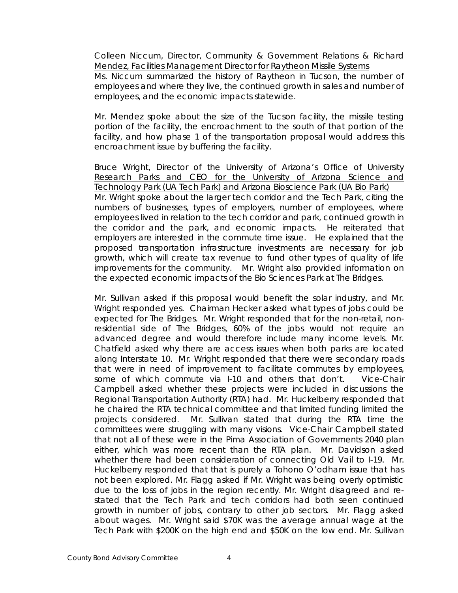Colleen Niccum, Director, Community & Government Relations & Richard Mendez, Facilities Management Director for Raytheon Missile Systems

Ms. Niccum summarized the history of Raytheon in Tucson, the number of employees and where they live, the continued growth in sales and number of employees, and the economic impacts statewide.

Mr. Mendez spoke about the size of the Tucson facility, the missile testing portion of the facility, the encroachment to the south of that portion of the facility, and how phase 1 of the transportation proposal would address this encroachment issue by buffering the facility.

Bruce Wright, Director of the University of Arizona's Office of University Research Parks and CEO for the University of Arizona Science and Technology Park (UA Tech Park) and Arizona Bioscience Park (UA Bio Park) Mr. Wright spoke about the larger tech corridor and the Tech Park, citing the numbers of businesses, types of employers, number of employees, where employees lived in relation to the tech corridor and park, continued growth in the corridor and the park, and economic impacts. He reiterated that employers are interested in the commute time issue. He explained that the proposed transportation infrastructure investments are necessary for job growth, which will create tax revenue to fund other types of quality of life improvements for the community. Mr. Wright also provided information on the expected economic impacts of the Bio Sciences Park at The Bridges.

Mr. Sullivan asked if this proposal would benefit the solar industry, and Mr. Wright responded yes. Chairman Hecker asked what types of jobs could be expected for The Bridges. Mr. Wright responded that for the non-retail, nonresidential side of The Bridges, 60% of the jobs would not require an advanced degree and would therefore include many income levels. Mr. Chatfield asked why there are access issues when both parks are located along Interstate 10. Mr. Wright responded that there were secondary roads that were in need of improvement to facilitate commutes by employees, some of which commute via I-10 and others that don't. Vice-Chair Campbell asked whether these projects were included in discussions the Regional Transportation Authority (RTA) had. Mr. Huckelberry responded that he chaired the RTA technical committee and that limited funding limited the projects considered. Mr. Sullivan stated that during the RTA time the committees were struggling with many visions. Vice-Chair Campbell stated that not all of these were in the Pima Association of Governments 2040 plan either, which was more recent than the RTA plan. Mr. Davidson asked whether there had been consideration of connecting Old Vail to I-19. Mr. Huckelberry responded that that is purely a Tohono O'odham issue that has not been explored. Mr. Flagg asked if Mr. Wright was being overly optimistic due to the loss of jobs in the region recently. Mr. Wright disagreed and restated that the Tech Park and tech corridors had both seen continued growth in number of jobs, contrary to other job sectors. Mr. Flagg asked about wages. Mr. Wright said \$70K was the average annual wage at the Tech Park with \$200K on the high end and \$50K on the low end. Mr. Sullivan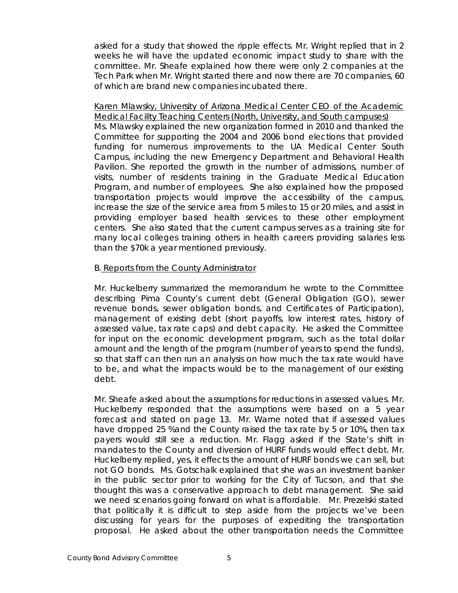asked for a study that showed the ripple effects. Mr. Wright replied that in 2 weeks he will have the updated economic impact study to share with the committee. Mr. Sheafe explained how there were only 2 companies at the Tech Park when Mr. Wright started there and now there are 70 companies, 60 of which are brand new companies incubated there.

Karen Mlawsky, University of Arizona Medical Center CEO of the Academic Medical Facility Teaching Centers (North, University, and South campuses) Ms. Mlawsky explained the new organization formed in 2010 and thanked the Committee for supporting the 2004 and 2006 bond elections that provided funding for numerous improvements to the UA Medical Center South Campus, including the new Emergency Department and Behavioral Health Pavilion. She reported the growth in the number of admissions, number of visits, number of residents training in the Graduate Medical Education Program, and number of employees. She also explained how the proposed transportation projects would improve the accessibility of the campus, increase the size of the service area from 5 miles to 15 or 20 miles, and assist in providing employer based health services to these other employment centers. She also stated that the current campus serves as a training site for many local colleges training others in health careers providing salaries less than the \$70k a year mentioned previously.

# B. Reports from the County Administrator

Mr. Huckelberry summarized the memorandum he wrote to the Committee describing Pima County's current debt (General Obligation (GO), sewer revenue bonds, sewer obligation bonds, and Certificates of Participation), management of existing debt (short payoffs, low interest rates, history of assessed value, tax rate caps) and debt capacity. He asked the Committee for input on the economic development program, such as the total dollar amount and the length of the program (number of years to spend the funds), so that staff can then run an analysis on how much the tax rate would have to be, and what the impacts would be to the management of our existing debt.

Mr. Sheafe asked about the assumptions for reductions in assessed values. Mr. Huckelberry responded that the assumptions were based on a 5 year forecast and stated on page 13. Mr. Warne noted that if assessed values have dropped 25 %and the County raised the tax rate by 5 or 10%, then tax payers would still see a reduction. Mr. Flagg asked if the State's shift in mandates to the County and diversion of HURF funds would effect debt. Mr. Huckelberry replied, yes, it effects the amount of HURF bonds we can sell, but not GO bonds. Ms. Gotschalk explained that she was an investment banker in the public sector prior to working for the City of Tucson, and that she thought this was a conservative approach to debt management. She said we need scenarios going forward on what is affordable. Mr. Prezelski stated that politically it is difficult to step aside from the projects we've been discussing for years for the purposes of expediting the transportation proposal. He asked about the other transportation needs the Committee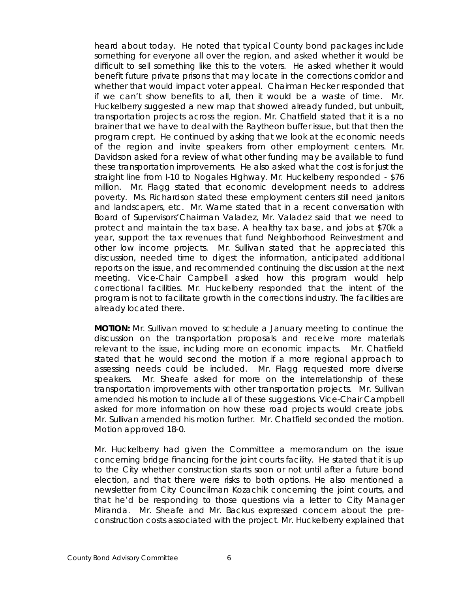heard about today. He noted that typical County bond packages include something for everyone all over the region, and asked whether it would be difficult to sell something like this to the voters. He asked whether it would benefit future private prisons that may locate in the corrections corridor and whether that would impact voter appeal. Chairman Hecker responded that if we can't show benefits to all, then it would be a waste of time. Mr. Huckelberry suggested a new map that showed already funded, but unbuilt, transportation projects across the region. Mr. Chatfield stated that it is a no brainer that we have to deal with the Raytheon buffer issue, but that then the program crept. He continued by asking that we look at the economic needs of the region and invite speakers from other employment centers. Mr. Davidson asked for a review of what other funding may be available to fund these transportation improvements. He also asked what the cost is for just the straight line from I-10 to Nogales Highway. Mr. Huckelberry responded - \$76 million. Mr. Flagg stated that economic development needs to address poverty. Ms. Richardson stated these employment centers still need janitors and landscapers, etc. Mr. Warne stated that in a recent conversation with Board of Supervisors'Chairman Valadez, Mr. Valadez said that we need to protect and maintain the tax base. A healthy tax base, and jobs at \$70k a year, support the tax revenues that fund Neighborhood Reinvestment and other low income projects. Mr. Sullivan stated that he appreciated this discussion, needed time to digest the information, anticipated additional reports on the issue, and recommended continuing the discussion at the next meeting. Vice-Chair Campbell asked how this program would help correctional facilities. Mr. Huckelberry responded that the intent of the program is not to facilitate growth in the corrections industry. The facilities are already located there.

**MOTION:** Mr. Sullivan moved to schedule a January meeting to continue the discussion on the transportation proposals and receive more materials relevant to the issue, including more on economic impacts. Mr. Chatfield stated that he would second the motion if a more regional approach to assessing needs could be included. Mr. Flagg requested more diverse speakers. Mr. Sheafe asked for more on the interrelationship of these transportation improvements with other transportation projects. Mr. Sullivan amended his motion to include all of these suggestions. Vice-Chair Campbell asked for more information on how these road projects would create jobs. Mr. Sullivan amended his motion further. Mr. Chatfield seconded the motion. Motion approved 18-0.

Mr. Huckelberry had given the Committee a memorandum on the issue concerning bridge financing for the joint courts facility. He stated that it is up to the City whether construction starts soon or not until after a future bond election, and that there were risks to both options. He also mentioned a newsletter from City Councilman Kozachik concerning the joint courts, and that he'd be responding to those questions via a letter to City Manager Miranda. Mr. Sheafe and Mr. Backus expressed concern about the preconstruction costs associated with the project. Mr. Huckelberry explained that